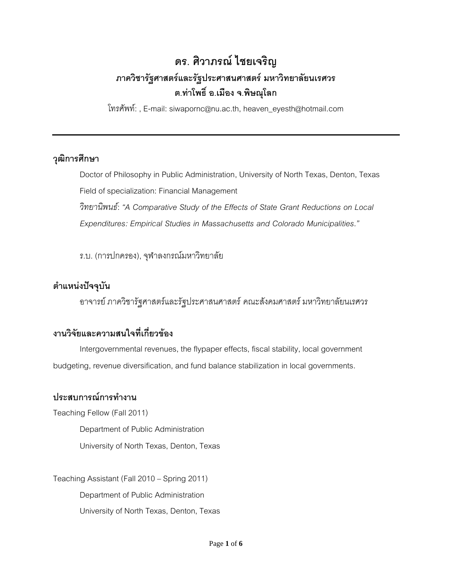# **ดร. ศิวาภรณ์ ไชยเจริญ ภาควิชารัฐศาสตร์และรัฐประศาสนศาสตร์ มหาวิทยาลัยนเรศวร ต.ท่าโพธิ์ อ.เมือง จ.พิษณุโลก**

โทรศัพท์: , E-mail: siwapornc@nu.ac.th, heaven\_eyesth@hotmail.com

## **วุฒิการศึกษา**

Doctor of Philosophy in Public Administration, University of North Texas, Denton, Texas Field of specialization: Financial Management

*วิทยานิพนธ์*: *"A Comparative Study of the Effects of State Grant Reductions on Local Expenditures: Empirical Studies in Massachusetts and Colorado Municipalities."*

ร.บ. (การปกครอง), จุฬาลงกรณ์มหาวิทยาลัย

## **ต าแหน่งปัจจุบัน**

อาจารย์ ภาควิชารัฐศาสตร์และรัฐประศาสนศาสตร์คณะสังคมศาสตร์ มหาวิทยาลัยนเรศวร

## **งานวิจัยและความสนใจที่เกี่ยวข้อง**

Intergovernmental revenues, the flypaper effects, fiscal stability, local government budgeting, revenue diversification, and fund balance stabilization in local governments.

## ้ประสบการณ์การทำงาน

Teaching Fellow (Fall 2011)

Department of Public Administration

University of North Texas, Denton, Texas

Teaching Assistant (Fall2010 – Spring 2011) Department of Public Administration University of North Texas, Denton, Texas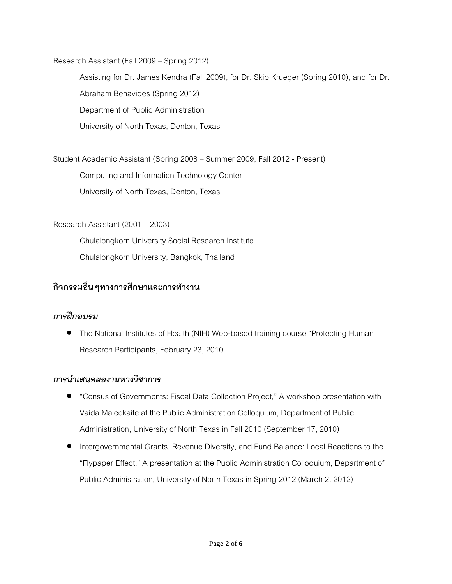Research Assistant (Fall 2009– Spring 2012)

Assisting for Dr. James Kendra (Fall 2009), for Dr. Skip Krueger (Spring 2010), and for Dr. Abraham Benavides (Spring 2012) Department of Public Administration University of North Texas, Denton, Texas

Student Academic Assistant (Spring 2008– Summer 2009, Fall 2012 - Present)

Computing and Information Technology Center

University of North Texas, Denton, Texas

Research Assistant (2001 – 2003)

Chulalongkorn University Social Research Institute Chulalongkorn University, Bangkok, Thailand

## ้กิจกรรมอื่น ๆทางการศึกษาและการทำงาน

#### *การฝึกอบรม*

 The National Institutes of Health (NIH) Web-based training course "Protecting Human Research Participants, February 23, 2010.

#### *การน าเสนอผลงานทางวิชาการ*

- "Census of Governments: Fiscal Data Collection Project," A workshop presentation with Vaida Maleckaite at the Public Administration Colloquium, Department of Public Administration, University of North Texas in Fall 2010 (September 17, 2010)
- Intergovernmental Grants, Revenue Diversity, and Fund Balance: Local Reactions to the "Flypaper Effect," A presentation at the Public Administration Colloquium, Department of Public Administration, University of North Texas in Spring 2012(March 2, 2012)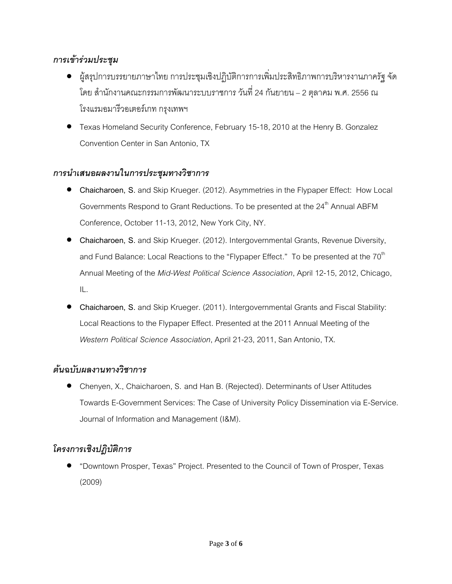## *การเข้าร่วมประชุม*

- ผู้สรุปการบรรยายภาษาไทย การประชุมเชิงปฏิบัติการการเพิ่มประสิทธิภาพการบริหารงานภาครัฐ จัด โดย สำนักงานคณะกรรมการพัฒนาระบบราชการ วันที่ 24 กันยายน – 2 ตุลาคม พ.ศ. 2556 ณ โรงแรมอมารีวอเตอร์เกท กรุงเทพฯ
- Texas Homeland Security Conference, February 15-18, 2010 at the Henry B. Gonzalez Convention Center in San Antonio, TX

#### *การน าเสนอผลงานในการประชุมทางวิชาการ*

- **Chaicharoen, S.** and Skip Krueger. (2012). Asymmetries in the Flypaper Effect: How Local Governments Respond to Grant Reductions. To be presented at the 24<sup>th</sup> Annual ABFM Conference, October 11-13, 2012, New York City, NY.
- **Chaicharoen, S.** and Skip Krueger. (2012). Intergovernmental Grants, Revenue Diversity, and Fund Balance: Local Reactions to the "Flypaper Effect." To be presented at the 70 $^{\rm th}$ Annual Meeting of the *Mid-West Political Science Association*, April 12-15, 2012, Chicago, IL.
- **Chaicharoen, S.** and Skip Krueger. (2011). Intergovernmental Grants and Fiscal Stability: Local Reactions to the Flypaper Effect. Presented at the 2011 Annual Meeting of the *Western Political Science Association*, April 21-23, 2011, San Antonio, TX.

#### *ต้นฉบับผลงานทางวิชาการ*

 Chenyen, X., Chaicharoen, S. and Han B. (Rejected). Determinants of User Attitudes Towards E-Government Services: The Case of University Policy Dissemination via E-Service. Journal of Information and Management (I&M).

## *โครงการเชิงปฎิบัติการ*

 "Downtown Prosper, Texas" Project. Presented to the Council of Town of Prosper, Texas (2009)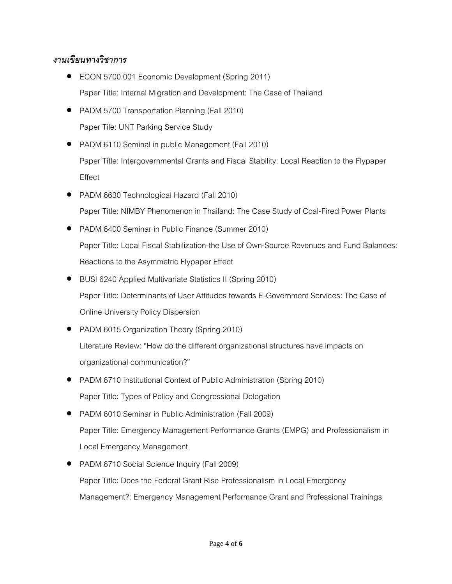## *งานเขียนทางวิชาการ*

- ECON 5700.001 Economic Development (Spring 2011) Paper Title: Internal Migration and Development: The Case of Thailand
- PADM 5700 Transportation Planning (Fall 2010) Paper Tile: UNT Parking Service Study
- PADM 6110 Seminal in public Management (Fall 2010) Paper Title: Intergovernmental Grants and Fiscal Stability: Local Reaction to the Flypaper Effect
- PADM 6630 Technological Hazard (Fall 2010) Paper Title: NIMBY Phenomenon in Thailand: The Case Study of Coal-Fired Power Plants
- PADM 6400 Seminar in Public Finance (Summer 2010) Paper Title: Local Fiscal Stabilization-the Use of Own-Source Revenues and Fund Balances: Reactions to the Asymmetric Flypaper Effect
- BUSI 6240 Applied Multivariate Statistics II (Spring 2010) Paper Title: Determinants of User Attitudes towards E-Government Services: The Case of Online University Policy Dispersion
- PADM 6015 Organization Theory (Spring 2010) Literature Review: "How do the different organizational structures have impacts on organizational communication?"
- PADM 6710 Institutional Context of Public Administration (Spring 2010) Paper Title: Types of Policy and Congressional Delegation
- PADM 6010 Seminar in Public Administration (Fall 2009) Paper Title: Emergency Management Performance Grants (EMPG) and Professionalism in Local Emergency Management
- PADM 6710 Social Science Inquiry (Fall 2009) Paper Title: Does the Federal Grant Rise Professionalism in Local Emergency Management?: Emergency Management Performance Grant and Professional Trainings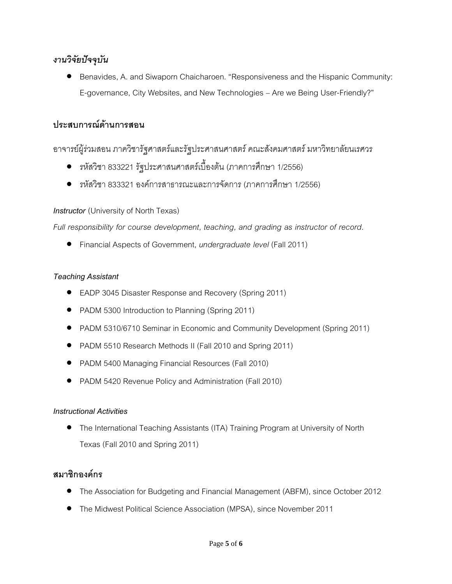## *งานวิจัยปัจจุบัน*

 Benavides, A. and Siwaporn Chaicharoen. "Responsiveness and the Hispanic Community: E-governance, City Websites, and New Technologies – Are we Being User-Friendly?"

## **ประสบการณ์ด้านการสอน**

## อาจารย์ผู้ร่วมสอน ภาควิชารัฐศาสตร์และรัฐประศาสนศาสตร์ คณะสังคมศาสตร์ มหาวิทยาลัยนเรศวร

- รหัสวิชา 833221 รัฐประศาสนศาสตร์เบื้องต้น (ภาคการศึกษา 1/2556)
- รหัสวิชา 833321องค์การสาธารณะและการจัดการ (ภาคการศึกษา 1/2556)

#### *Instructor* (University of North Texas)

*Full responsibility for course development, teaching, and grading as instructor of record.*

Financial Aspects of Government, *undergraduate level* (Fall 2011)

#### *Teaching Assistant*

- EADP 3045 Disaster Response and Recovery (Spring 2011)
- PADM 5300 Introduction to Planning (Spring 2011)
- PADM 5310/6710 Seminar in Economic and Community Development (Spring 2011)
- PADM 5510 Research Methods II (Fall 2010 and Spring 2011)
- PADM 5400 Managing Financial Resources (Fall 2010)
- PADM 5420 Revenue Policy and Administration (Fall 2010)

#### *Instructional Activities*

 The International Teaching Assistants (ITA) Training Program at University of North Texas (Fall 2010 and Spring 2011)

## **สมาชิกองค์กร**

- The Association for Budgeting and Financial Management (ABFM), since October 2012
- The Midwest Political Science Association (MPSA), since November 2011